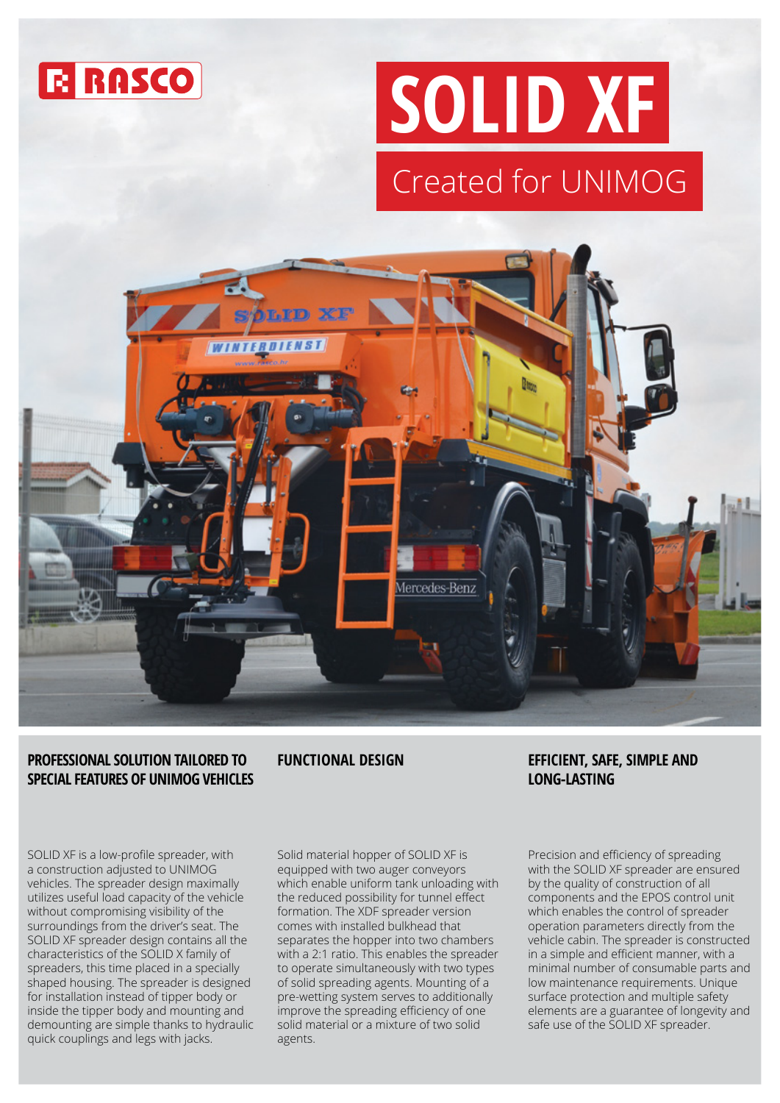

# **SOLID XF** Created for UNIMOG



## **PROFESSIONAL SOLUTION TAILORED TO SPECIAL FEATURES OF UNIMOG VEHICLES**

SOLID XF is a low-profile spreader, with a construction adjusted to UNIMOG vehicles. The spreader design maximally utilizes useful load capacity of the vehicle without compromising visibility of the surroundings from the driver's seat. The SOLID XF spreader design contains all the characteristics of the SOLID X family of spreaders, this time placed in a specially shaped housing. The spreader is designed for installation instead of tipper body or inside the tipper body and mounting and demounting are simple thanks to hydraulic quick couplings and legs with jacks.

Solid material hopper of SOLID XF is equipped with two auger conveyors which enable uniform tank unloading with the reduced possibility for tunnel effect formation. The XDF spreader version comes with installed bulkhead that separates the hopper into two chambers with a 2:1 ratio. This enables the spreader to operate simultaneously with two types of solid spreading agents. Mounting of a pre-wetting system serves to additionally improve the spreading efficiency of one solid material or a mixture of two solid agents.

## **FUNCTIONAL DESIGN EFFICIENT, SAFE, SIMPLE AND LONG-LASTING**

Precision and efficiency of spreading with the SOLID XF spreader are ensured by the quality of construction of all components and the EPOS control unit which enables the control of spreader operation parameters directly from the vehicle cabin. The spreader is constructed in a simple and efficient manner, with a minimal number of consumable parts and low maintenance requirements. Unique surface protection and multiple safety elements are a guarantee of longevity and safe use of the SOLID XF spreader.